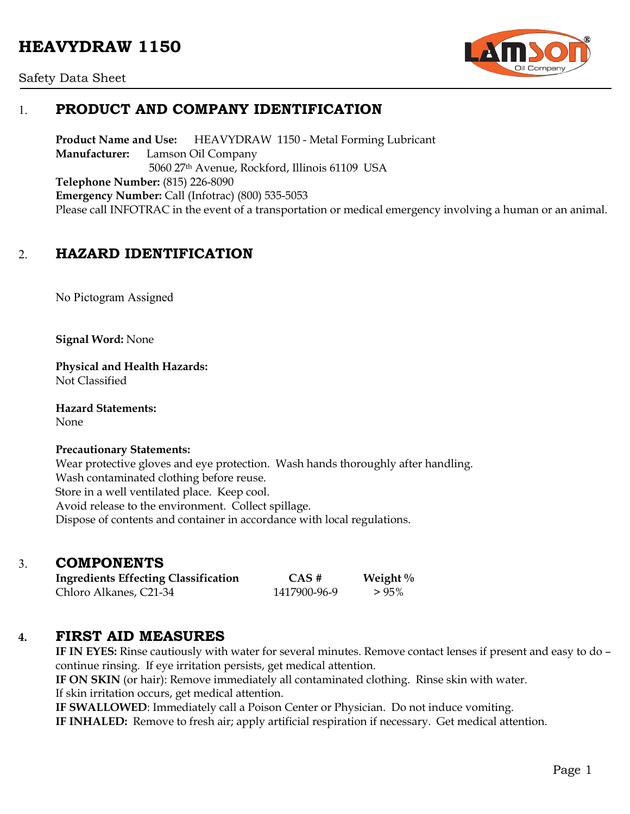# **HEAVYDRAW 1150**



Safety Data Sheet

### 1. **PRODUCT AND COMPANY IDENTIFICATION**

**Product Name and Use:** HEAVYDRAW 1150 - Metal Forming Lubricant **Manufacturer:** Lamson Oil Company 5060 27th Avenue, Rockford, Illinois 61109 USA **Telephone Number:** (815) 226-8090 **Emergency Number:** Call (Infotrac) (800) 535-5053 Please call INFOTRAC in the event of a transportation or medical emergency involving a human or an animal.

### 2. **HAZARD IDENTIFICATION**

No Pictogram Assigned

**Signal Word:** None

**Physical and Health Hazards:** Not Classified

**Hazard Statements:**  None

#### **Precautionary Statements:**

Wear protective gloves and eye protection. Wash hands thoroughly after handling. Wash contaminated clothing before reuse. Store in a well ventilated place. Keep cool. Avoid release to the environment. Collect spillage. Dispose of contents and container in accordance with local regulations.

### 3. **COMPONENTS**

**Ingredients Effecting Classification CAS # Weight %** Chloro Alkanes, C21-34 1417900-96-9 > 95%

### **4. FIRST AID MEASURES**

**IF IN EYES:** Rinse cautiously with water for several minutes. Remove contact lenses if present and easy to do – continue rinsing. If eye irritation persists, get medical attention.

**IF ON SKIN** (or hair): Remove immediately all contaminated clothing. Rinse skin with water.

If skin irritation occurs, get medical attention.

**IF SWALLOWED**: Immediately call a Poison Center or Physician. Do not induce vomiting.

**IF INHALED:** Remove to fresh air; apply artificial respiration if necessary. Get medical attention.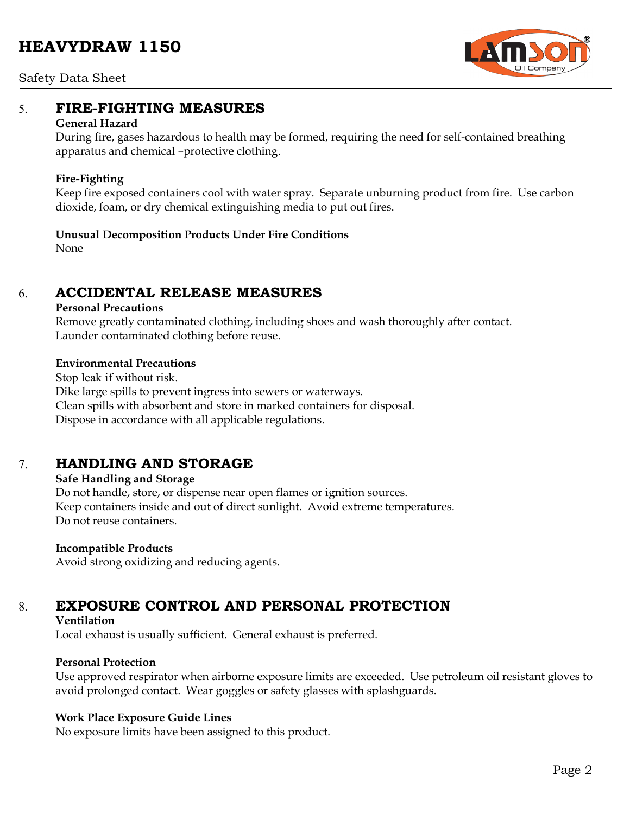# **HEAVYDRAW 1150**



Safety Data Sheet

### 5. **FIRE-FIGHTING MEASURES**

#### **General Hazard**

During fire, gases hazardous to health may be formed, requiring the need for self-contained breathing apparatus and chemical –protective clothing.

#### **Fire-Fighting**

Keep fire exposed containers cool with water spray. Separate unburning product from fire. Use carbon dioxide, foam, or dry chemical extinguishing media to put out fires.

## **Unusual Decomposition Products Under Fire Conditions**

None

## 6. **ACCIDENTAL RELEASE MEASURES**

#### **Personal Precautions**

Remove greatly contaminated clothing, including shoes and wash thoroughly after contact. Launder contaminated clothing before reuse.

#### **Environmental Precautions**

Stop leak if without risk. Dike large spills to prevent ingress into sewers or waterways. Clean spills with absorbent and store in marked containers for disposal. Dispose in accordance with all applicable regulations.

## 7. **HANDLING AND STORAGE**

#### **Safe Handling and Storage**

Do not handle, store, or dispense near open flames or ignition sources. Keep containers inside and out of direct sunlight. Avoid extreme temperatures. Do not reuse containers.

#### **Incompatible Products**

Avoid strong oxidizing and reducing agents.

# 8. **EXPOSURE CONTROL AND PERSONAL PROTECTION**

#### **Ventilation**

Local exhaust is usually sufficient. General exhaust is preferred.

### **Personal Protection**

Use approved respirator when airborne exposure limits are exceeded. Use petroleum oil resistant gloves to avoid prolonged contact. Wear goggles or safety glasses with splashguards.

### **Work Place Exposure Guide Lines**

No exposure limits have been assigned to this product.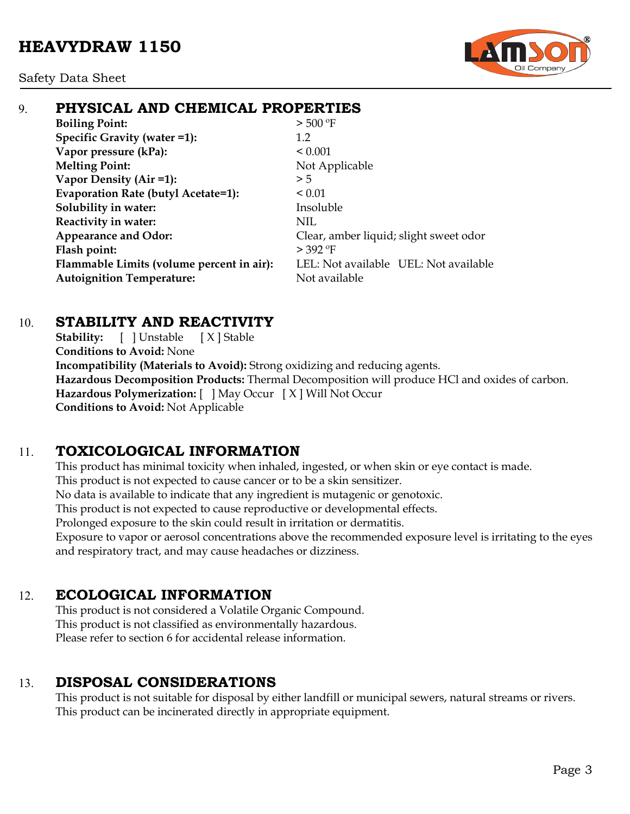

## 9. **PHYSICAL AND CHEMICAL PROPERTIES**

**Boiling Point:**  $> 500 °F$ **Specific Gravity (water =1):** 1.2 **Vapor pressure (kPa):**  $< 0.001$ **Melting Point:** Not Applicable **Vapor Density (Air =1):**  $>5$ **Evaporation Rate (butyl Acetate=1):** < 0.01 **Solubility in water:** Insoluble **Reactivity in water:** NIL **Appearance and Odor:** Clear, amber liquid; slight sweet odor Flash point:  $>$  392 °F **Flammable Limits (volume percent in air):** LEL: Not available UEL: Not available **Autoignition Temperature:** Not available

### 10. **STABILITY AND REACTIVITY**

**Stability:** [ ] Unstable [ X ] Stable **Conditions to Avoid:** None **Incompatibility (Materials to Avoid):** Strong oxidizing and reducing agents. **Hazardous Decomposition Products:** Thermal Decomposition will produce HCl and oxides of carbon. **Hazardous Polymerization:** [ ] May Occur [ X ] Will Not Occur **Conditions to Avoid:** Not Applicable

## 11. **TOXICOLOGICAL INFORMATION**

This product has minimal toxicity when inhaled, ingested, or when skin or eye contact is made. This product is not expected to cause cancer or to be a skin sensitizer. No data is available to indicate that any ingredient is mutagenic or genotoxic. This product is not expected to cause reproductive or developmental effects. Prolonged exposure to the skin could result in irritation or dermatitis. Exposure to vapor or aerosol concentrations above the recommended exposure level is irritating to the eyes and respiratory tract, and may cause headaches or dizziness.

## 12. **ECOLOGICAL INFORMATION**

This product is not considered a Volatile Organic Compound. This product is not classified as environmentally hazardous. Please refer to section 6 for accidental release information.

# 13. **DISPOSAL CONSIDERATIONS**

This product is not suitable for disposal by either landfill or municipal sewers, natural streams or rivers. This product can be incinerated directly in appropriate equipment.